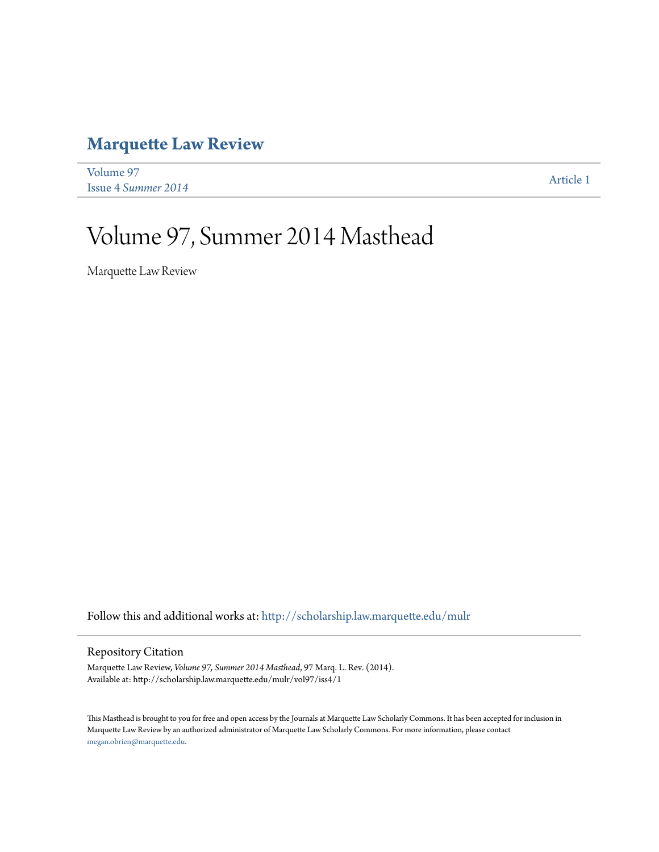### **[Marquette Law Review](http://scholarship.law.marquette.edu/mulr?utm_source=scholarship.law.marquette.edu%2Fmulr%2Fvol97%2Fiss4%2F1&utm_medium=PDF&utm_campaign=PDFCoverPages)**

[Volume 97](http://scholarship.law.marquette.edu/mulr/vol97?utm_source=scholarship.law.marquette.edu%2Fmulr%2Fvol97%2Fiss4%2F1&utm_medium=PDF&utm_campaign=PDFCoverPages) Issue 4 *[Summer 2014](http://scholarship.law.marquette.edu/mulr/vol97/iss4?utm_source=scholarship.law.marquette.edu%2Fmulr%2Fvol97%2Fiss4%2F1&utm_medium=PDF&utm_campaign=PDFCoverPages)* [Article 1](http://scholarship.law.marquette.edu/mulr/vol97/iss4/1?utm_source=scholarship.law.marquette.edu%2Fmulr%2Fvol97%2Fiss4%2F1&utm_medium=PDF&utm_campaign=PDFCoverPages)

# Volume 97, Summer 2014 Masthead

Marquette Law Review

Follow this and additional works at: [http://scholarship.law.marquette.edu/mulr](http://scholarship.law.marquette.edu/mulr?utm_source=scholarship.law.marquette.edu%2Fmulr%2Fvol97%2Fiss4%2F1&utm_medium=PDF&utm_campaign=PDFCoverPages)

### Repository Citation

Marquette Law Review, *Volume 97, Summer 2014 Masthead*, 97 Marq. L. Rev. (2014). Available at: http://scholarship.law.marquette.edu/mulr/vol97/iss4/1

This Masthead is brought to you for free and open access by the Journals at Marquette Law Scholarly Commons. It has been accepted for inclusion in Marquette Law Review by an authorized administrator of Marquette Law Scholarly Commons. For more information, please contact [megan.obrien@marquette.edu.](mailto:megan.obrien@marquette.edu)